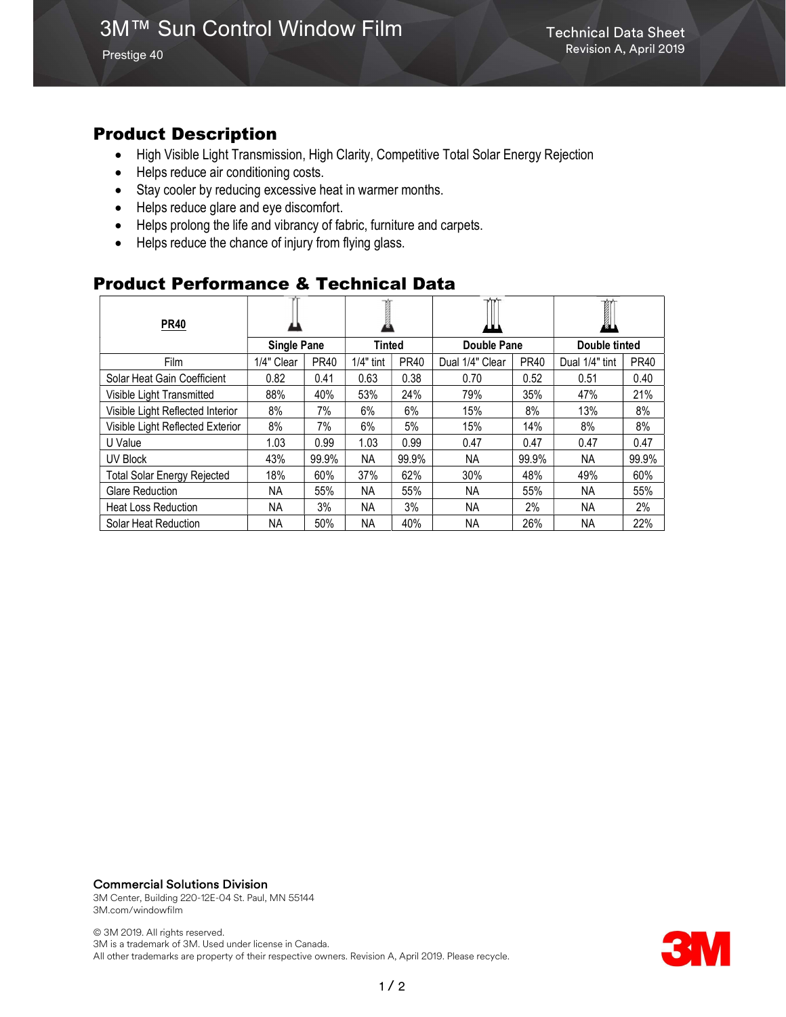Prestige 40

### Product Description

- High Visible Light Transmission, High Clarity, Competitive Total Solar Energy Rejection
- Helps reduce air conditioning costs.
- Stay cooler by reducing excessive heat in warmer months.
- Helps reduce glare and eye discomfort.
- Helps prolong the life and vibrancy of fabric, furniture and carpets.
- Helps reduce the chance of injury from flying glass.

### Product Performance & Technical Data

| <b>PR40</b>                        |                    |             |             |             | ш               |             | øц             |             |
|------------------------------------|--------------------|-------------|-------------|-------------|-----------------|-------------|----------------|-------------|
|                                    | <b>Single Pane</b> |             | Tinted      |             | Double Pane     |             | Double tinted  |             |
| <b>Film</b>                        | 1/4" Clear         | <b>PR40</b> | $1/4"$ tint | <b>PR40</b> | Dual 1/4" Clear | <b>PR40</b> | Dual 1/4" tint | <b>PR40</b> |
| Solar Heat Gain Coefficient        | 0.82               | 0.41        | 0.63        | 0.38        | 0.70            | 0.52        | 0.51           | 0.40        |
| Visible Light Transmitted          | 88%                | 40%         | 53%         | 24%         | 79%             | 35%         | 47%            | 21%         |
| Visible Light Reflected Interior   | 8%                 | 7%          | 6%          | 6%          | 15%             | 8%          | 13%            | 8%          |
| Visible Light Reflected Exterior   | 8%                 | 7%          | 6%          | 5%          | 15%             | 14%         | 8%             | 8%          |
| U Value                            | 1.03               | 0.99        | 1.03        | 0.99        | 0.47            | 0.47        | 0.47           | 0.47        |
| UV Block                           | 43%                | 99.9%       | NA.         | 99.9%       | NА              | 99.9%       | NA.            | 99.9%       |
| <b>Total Solar Energy Rejected</b> | 18%                | 60%         | 37%         | 62%         | 30%             | 48%         | 49%            | 60%         |
| <b>Glare Reduction</b>             | NA.                | 55%         | ΝA          | 55%         | NА              | 55%         | NA.            | 55%         |
| <b>Heat Loss Reduction</b>         | NA.                | 3%          | NA          | 3%          | NА              | 2%          | NA.            | 2%          |
| Solar Heat Reduction               | NA.                | 50%         | NA          | 40%         | ΝA              | 26%         | NA.            | 22%         |

Commercial Solutions Division

3M Center, Building 220-12E-04 St. Paul, MN 55144 3M.com/windowfilm

© 3M 2019. All rights reserved. 3M is a trademark of 3M. Used under license in Canada. All other trademarks are property of their respective owners. Revision A, April 2019. Please recycle.